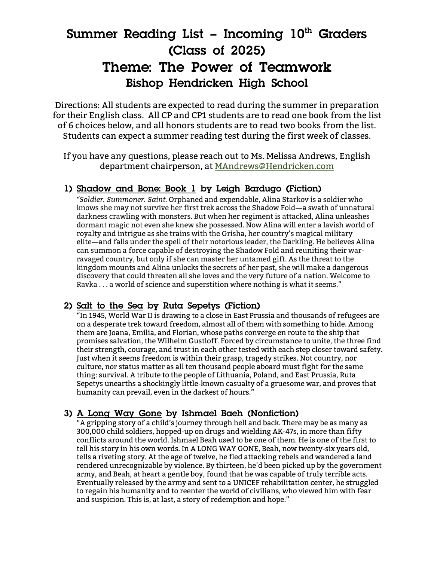# **Summer Reading List – Incoming 10<sup>th</sup> Graders (Class of 2025) Theme: The Power of Teamwork Bishop Hendricken High School**

Directions: All students are expected to read during the summer in preparation for their English class. All CP and CP1 students are to read one book from the list of 6 choices below, and all honors students are to read two books from the list. Students can expect a summer reading test during the first week of classes.

If you have any questions, please reach out to Ms. Melissa Andrews, English department chairperson, at MAndrews@Hendricken.com

## **1) Shadow and Bone: Book 1 by Leigh Bardugo (Fiction)**

*"Soldier. Summoner. Saint.* Orphaned and expendable, Alina Starkov is a soldier who knows she may not survive her first trek across the Shadow Fold―a swath of unnatural darkness crawling with monsters. But when her regiment is attacked, Alina unleashes dormant magic not even she knew she possessed. Now Alina will enter a lavish world of royalty and intrigue as she trains with the Grisha, her country's magical military elite―and falls under the spell of their notorious leader, the Darkling. He believes Alina can summon a force capable of destroying the Shadow Fold and reuniting their warravaged country, but only if she can master her untamed gift. As the threat to the kingdom mounts and Alina unlocks the secrets of her past, she will make a dangerous discovery that could threaten all she loves and the very future of a nation. Welcome to Ravka . . . a world of science and superstition where nothing is what it seems."

## **2) Salt to the Sea by Ruta Sepetys (Fiction)**

"In 1945, World War II is drawing to a close in East Prussia and thousands of refugees are on a desperate trek toward freedom, almost all of them with something to hide. Among them are Joana, Emilia, and Florian, whose paths converge en route to the ship that promises salvation, the Wilhelm Gustloff. Forced by circumstance to unite, the three find their strength, courage, and trust in each other tested with each step closer toward safety. Just when it seems freedom is within their grasp, tragedy strikes. Not country, nor culture, nor status matter as all ten thousand people aboard must fight for the same thing: survival. A tribute to the people of Lithuania, Poland, and East Prussia, Ruta Sepetys unearths a shockingly little-known casualty of a gruesome war, and proves that humanity can prevail, even in the darkest of hours."

## **3) A Long Way Gone by Ishmael Baeh (Nonfiction)**

"A gripping story of a child's journey through hell and back. There may be as many as 300,000 child soldiers, hopped-up on drugs and wielding AK-47s, in more than fifty conflicts around the world. Ishmael Beah used to be one of them. He is one of the first to tell his story in his own words. In A LONG WAY GONE, Beah, now twenty-six years old, tells a riveting story. At the age of twelve, he fled attacking rebels and wandered a land rendered unrecognizable by violence. By thirteen, he'd been picked up by the government army, and Beah, at heart a gentle boy, found that he was capable of truly terrible acts. Eventually released by the army and sent to a UNICEF rehabilitation center, he struggled to regain his humanity and to reenter the world of civilians, who viewed him with fear and suspicion. This is, at last, a story of redemption and hope."